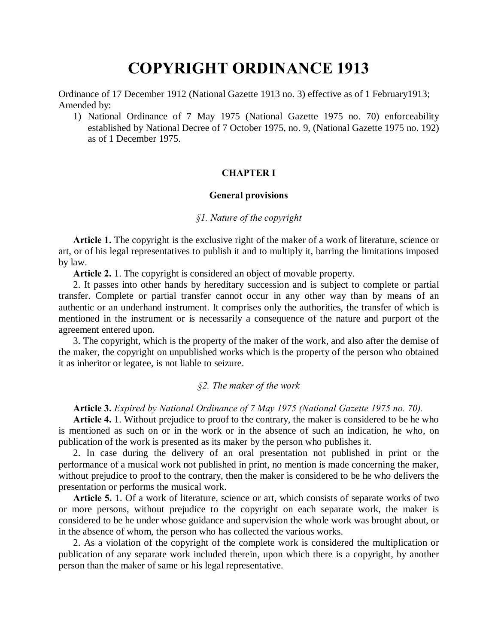# **COPYRIGHT ORDINANCE 1913**

Ordinance of 17 December 1912 (National Gazette 1913 no. 3) effective as of 1 February1913; Amended by:

1) National Ordinance of 7 May 1975 (National Gazette 1975 no. 70) enforceability established by National Decree of 7 October 1975, no. 9, (National Gazette 1975 no. 192) as of 1 December 1975.

# **CHAPTER I**

# **General provisions**

# *§1. Nature of the copyright*

**Article 1.** The copyright is the exclusive right of the maker of a work of literature, science or art, or of his legal representatives to publish it and to multiply it, barring the limitations imposed by law.

**Article 2.** 1. The copyright is considered an object of movable property.

2. It passes into other hands by hereditary succession and is subject to complete or partial transfer. Complete or partial transfer cannot occur in any other way than by means of an authentic or an underhand instrument. It comprises only the authorities, the transfer of which is mentioned in the instrument or is necessarily a consequence of the nature and purport of the agreement entered upon.

3. The copyright, which is the property of the maker of the work, and also after the demise of the maker, the copyright on unpublished works which is the property of the person who obtained it as inheritor or legatee, is not liable to seizure.

#### *§2. The maker of the work*

#### **Article 3.** *Expired by National Ordinance of 7 May 1975 (National Gazette 1975 no. 70).*

**Article 4.** 1. Without prejudice to proof to the contrary, the maker is considered to be he who is mentioned as such on or in the work or in the absence of such an indication, he who, on publication of the work is presented as its maker by the person who publishes it.

2. In case during the delivery of an oral presentation not published in print or the performance of a musical work not published in print, no mention is made concerning the maker, without prejudice to proof to the contrary, then the maker is considered to be he who delivers the presentation or performs the musical work.

**Article 5.** 1. Of a work of literature, science or art, which consists of separate works of two or more persons, without prejudice to the copyright on each separate work, the maker is considered to be he under whose guidance and supervision the whole work was brought about, or in the absence of whom, the person who has collected the various works.

2. As a violation of the copyright of the complete work is considered the multiplication or publication of any separate work included therein, upon which there is a copyright, by another person than the maker of same or his legal representative.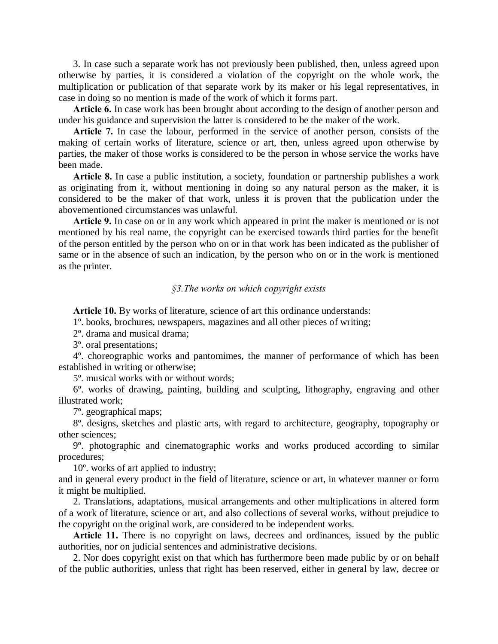3. In case such a separate work has not previously been published, then, unless agreed upon otherwise by parties, it is considered a violation of the copyright on the whole work, the multiplication or publication of that separate work by its maker or his legal representatives, in case in doing so no mention is made of the work of which it forms part.

**Article 6.** In case work has been brought about according to the design of another person and under his guidance and supervision the latter is considered to be the maker of the work.

**Article 7.** In case the labour, performed in the service of another person, consists of the making of certain works of literature, science or art, then, unless agreed upon otherwise by parties, the maker of those works is considered to be the person in whose service the works have been made.

**Article 8.** In case a public institution, a society, foundation or partnership publishes a work as originating from it, without mentioning in doing so any natural person as the maker, it is considered to be the maker of that work, unless it is proven that the publication under the abovementioned circumstances was unlawful.

**Article 9.** In case on or in any work which appeared in print the maker is mentioned or is not mentioned by his real name, the copyright can be exercised towards third parties for the benefit of the person entitled by the person who on or in that work has been indicated as the publisher of same or in the absence of such an indication, by the person who on or in the work is mentioned as the printer.

# *§3.The works on which copyright exists*

**Article 10.** By works of literature, science of art this ordinance understands:

1º. books, brochures, newspapers, magazines and all other pieces of writing;

2º. drama and musical drama;

3º. oral presentations;

4º. choreographic works and pantomimes, the manner of performance of which has been established in writing or otherwise;

5º. musical works with or without words;

6º. works of drawing, painting, building and sculpting, lithography, engraving and other illustrated work;

7º. geographical maps;

8º. designs, sketches and plastic arts, with regard to architecture, geography, topography or other sciences;

9º. photographic and cinematographic works and works produced according to similar procedures;

10º. works of art applied to industry;

and in general every product in the field of literature, science or art, in whatever manner or form it might be multiplied.

2. Translations, adaptations, musical arrangements and other multiplications in altered form of a work of literature, science or art, and also collections of several works, without prejudice to the copyright on the original work, are considered to be independent works.

**Article 11.** There is no copyright on laws, decrees and ordinances, issued by the public authorities, nor on judicial sentences and administrative decisions.

2. Nor does copyright exist on that which has furthermore been made public by or on behalf of the public authorities, unless that right has been reserved, either in general by law, decree or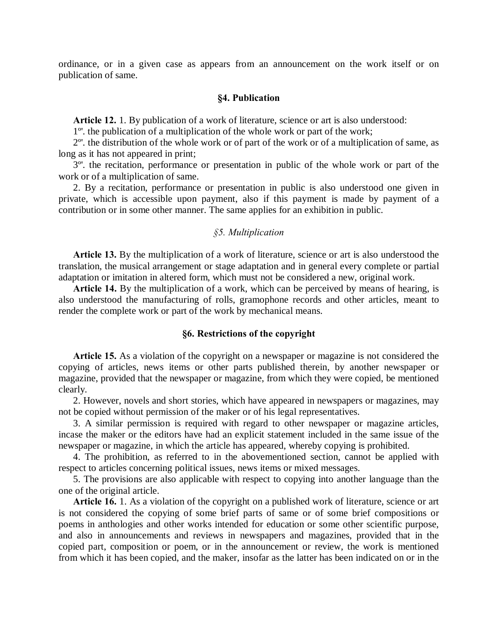ordinance, or in a given case as appears from an announcement on the work itself or on publication of same.

#### **§4. Publication**

**Article 12.** 1. By publication of a work of literature, science or art is also understood:

1º'. the publication of a multiplication of the whole work or part of the work;

2º'. the distribution of the whole work or of part of the work or of a multiplication of same, as long as it has not appeared in print;

3º'. the recitation, performance or presentation in public of the whole work or part of the work or of a multiplication of same.

2. By a recitation, performance or presentation in public is also understood one given in private, which is accessible upon payment, also if this payment is made by payment of a contribution or in some other manner. The same applies for an exhibition in public.

# *§5. Multiplication*

**Article 13.** By the multiplication of a work of literature, science or art is also understood the translation, the musical arrangement or stage adaptation and in general every complete or partial adaptation or imitation in altered form, which must not be considered a new, original work.

**Article 14.** By the multiplication of a work, which can be perceived by means of hearing, is also understood the manufacturing of rolls, gramophone records and other articles, meant to render the complete work or part of the work by mechanical means.

# **§6. Restrictions of the copyright**

**Article 15.** As a violation of the copyright on a newspaper or magazine is not considered the copying of articles, news items or other parts published therein, by another newspaper or magazine, provided that the newspaper or magazine, from which they were copied, be mentioned clearly.

2. However, novels and short stories, which have appeared in newspapers or magazines, may not be copied without permission of the maker or of his legal representatives.

3. A similar permission is required with regard to other newspaper or magazine articles, incase the maker or the editors have had an explicit statement included in the same issue of the newspaper or magazine, in which the article has appeared, whereby copying is prohibited.

4. The prohibition, as referred to in the abovementioned section, cannot be applied with respect to articles concerning political issues, news items or mixed messages.

5. The provisions are also applicable with respect to copying into another language than the one of the original article.

**Article 16.** 1. As a violation of the copyright on a published work of literature, science or art is not considered the copying of some brief parts of same or of some brief compositions or poems in anthologies and other works intended for education or some other scientific purpose, and also in announcements and reviews in newspapers and magazines, provided that in the copied part, composition or poem, or in the announcement or review, the work is mentioned from which it has been copied, and the maker, insofar as the latter has been indicated on or in the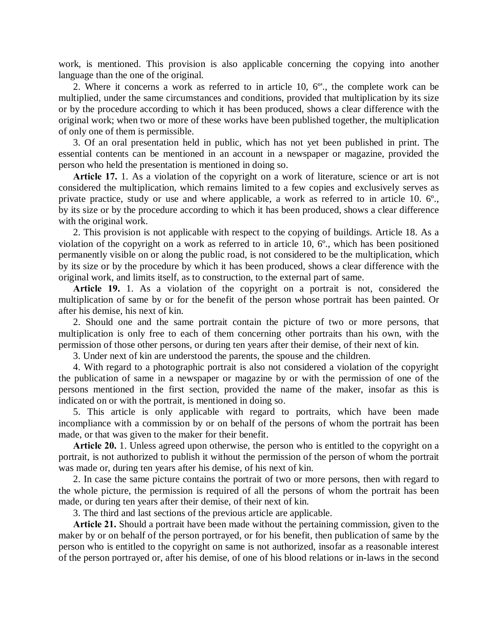work, is mentioned. This provision is also applicable concerning the copying into another language than the one of the original.

2. Where it concerns a work as referred to in article 10, 6º'., the complete work can be multiplied, under the same circumstances and conditions, provided that multiplication by its size or by the procedure according to which it has been produced, shows a clear difference with the original work; when two or more of these works have been published together, the multiplication of only one of them is permissible.

3. Of an oral presentation held in public, which has not yet been published in print. The essential contents can be mentioned in an account in a newspaper or magazine, provided the person who held the presentation is mentioned in doing so.

**Article 17.** 1. As a violation of the copyright on a work of literature, science or art is not considered the multiplication, which remains limited to a few copies and exclusively serves as private practice, study or use and where applicable, a work as referred to in article 10. 6°., by its size or by the procedure according to which it has been produced, shows a clear difference with the original work.

2. This provision is not applicable with respect to the copying of buildings. Article 18. As a violation of the copyright on a work as referred to in article 10, 6º., which has been positioned permanently visible on or along the public road, is not considered to be the multiplication, which by its size or by the procedure by which it has been produced, shows a clear difference with the original work, and limits itself, as to construction, to the external part of same.

**Article 19.** 1. As a violation of the copyright on a portrait is not, considered the multiplication of same by or for the benefit of the person whose portrait has been painted. Or after his demise, his next of kin.

2. Should one and the same portrait contain the picture of two or more persons, that multiplication is only free to each of them concerning other portraits than his own, with the permission of those other persons, or during ten years after their demise, of their next of kin.

3. Under next of kin are understood the parents, the spouse and the children.

4. With regard to a photographic portrait is also not considered a violation of the copyright the publication of same in a newspaper or magazine by or with the permission of one of the persons mentioned in the first section, provided the name of the maker, insofar as this is indicated on or with the portrait, is mentioned in doing so.

5. This article is only applicable with regard to portraits, which have been made incompliance with a commission by or on behalf of the persons of whom the portrait has been made, or that was given to the maker for their benefit.

**Article 20.** 1. Unless agreed upon otherwise, the person who is entitled to the copyright on a portrait, is not authorized to publish it without the permission of the person of whom the portrait was made or, during ten years after his demise, of his next of kin.

2. In case the same picture contains the portrait of two or more persons, then with regard to the whole picture, the permission is required of all the persons of whom the portrait has been made, or during ten years after their demise, of their next of kin.

3. The third and last sections of the previous article are applicable.

**Article 21.** Should a portrait have been made without the pertaining commission, given to the maker by or on behalf of the person portrayed, or for his benefit, then publication of same by the person who is entitled to the copyright on same is not authorized, insofar as a reasonable interest of the person portrayed or, after his demise, of one of his blood relations or in-laws in the second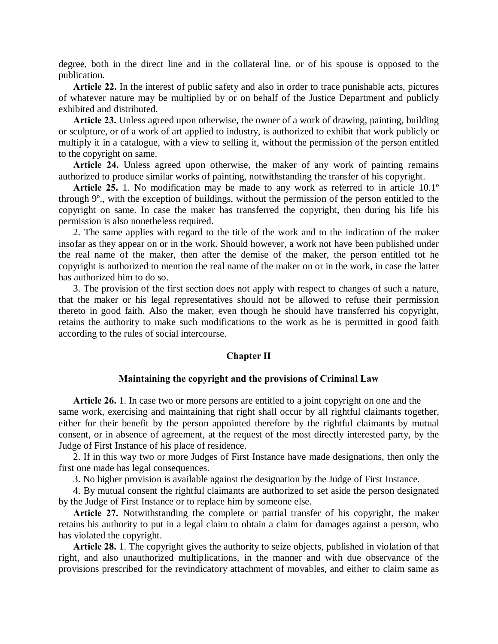degree, both in the direct line and in the collateral line, or of his spouse is opposed to the publication.

**Article 22.** In the interest of public safety and also in order to trace punishable acts, pictures of whatever nature may be multiplied by or on behalf of the Justice Department and publicly exhibited and distributed.

**Article 23.** Unless agreed upon otherwise, the owner of a work of drawing, painting, building or sculpture, or of a work of art applied to industry, is authorized to exhibit that work publicly or multiply it in a catalogue, with a view to selling it, without the permission of the person entitled to the copyright on same.

**Article 24.** Unless agreed upon otherwise, the maker of any work of painting remains authorized to produce similar works of painting, notwithstanding the transfer of his copyright.

**Article 25.** 1. No modification may be made to any work as referred to in article 10.1º through 9º., with the exception of buildings, without the permission of the person entitled to the copyright on same. In case the maker has transferred the copyright, then during his life his permission is also nonetheless required.

2. The same applies with regard to the title of the work and to the indication of the maker insofar as they appear on or in the work. Should however, a work not have been published under the real name of the maker, then after the demise of the maker, the person entitled tot he copyright is authorized to mention the real name of the maker on or in the work, in case the latter has authorized him to do so.

3. The provision of the first section does not apply with respect to changes of such a nature, that the maker or his legal representatives should not be allowed to refuse their permission thereto in good faith. Also the maker, even though he should have transferred his copyright, retains the authority to make such modifications to the work as he is permitted in good faith according to the rules of social intercourse.

#### **Chapter II**

#### **Maintaining the copyright and the provisions of Criminal Law**

**Article 26.** 1. In case two or more persons are entitled to a joint copyright on one and the same work, exercising and maintaining that right shall occur by all rightful claimants together, either for their benefit by the person appointed therefore by the rightful claimants by mutual consent, or in absence of agreement, at the request of the most directly interested party, by the Judge of First Instance of his place of residence.

2. If in this way two or more Judges of First Instance have made designations, then only the first one made has legal consequences.

3. No higher provision is available against the designation by the Judge of First Instance.

4. By mutual consent the rightful claimants are authorized to set aside the person designated by the Judge of First Instance or to replace him by someone else.

**Article 27.** Notwithstanding the complete or partial transfer of his copyright, the maker retains his authority to put in a legal claim to obtain a claim for damages against a person, who has violated the copyright.

**Article 28.** 1. The copyright gives the authority to seize objects, published in violation of that right, and also unauthorized multiplications, in the manner and with due observance of the provisions prescribed for the revindicatory attachment of movables, and either to claim same as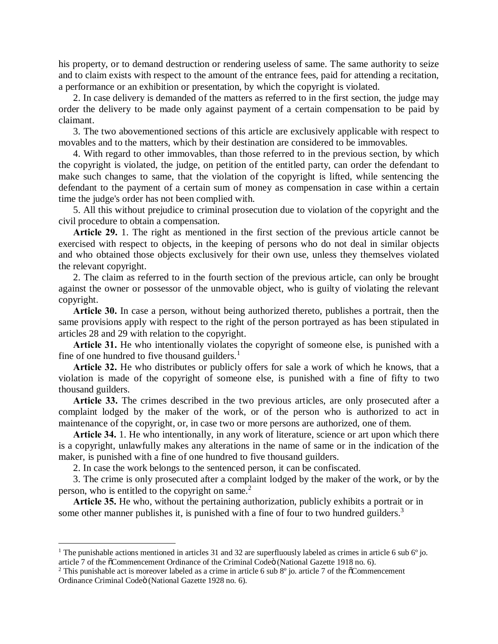his property, or to demand destruction or rendering useless of same. The same authority to seize and to claim exists with respect to the amount of the entrance fees, paid for attending a recitation, a performance or an exhibition or presentation, by which the copyright is violated.

2. In case delivery is demanded of the matters as referred to in the first section, the judge may order the delivery to be made only against payment of a certain compensation to be paid by claimant.

3. The two abovementioned sections of this article are exclusively applicable with respect to movables and to the matters, which by their destination are considered to be immovables.

4. With regard to other immovables, than those referred to in the previous section, by which the copyright is violated, the judge, on petition of the entitled party, can order the defendant to make such changes to same, that the violation of the copyright is lifted, while sentencing the defendant to the payment of a certain sum of money as compensation in case within a certain time the judge's order has not been complied with.

5. All this without prejudice to criminal prosecution due to violation of the copyright and the civil procedure to obtain a compensation.

**Article 29.** 1. The right as mentioned in the first section of the previous article cannot be exercised with respect to objects, in the keeping of persons who do not deal in similar objects and who obtained those objects exclusively for their own use, unless they themselves violated the relevant copyright.

2. The claim as referred to in the fourth section of the previous article, can only be brought against the owner or possessor of the unmovable object, who is guilty of violating the relevant copyright.

**Article 30.** In case a person, without being authorized thereto, publishes a portrait, then the same provisions apply with respect to the right of the person portrayed as has been stipulated in articles 28 and 29 with relation to the copyright.

**Article 31.** He who intentionally violates the copyright of someone else, is punished with a fine of one hundred to five thousand guilders. $<sup>1</sup>$ </sup>

**Article 32.** He who distributes or publicly offers for sale a work of which he knows, that a violation is made of the copyright of someone else, is punished with a fine of fifty to two thousand guilders.

**Article 33.** The crimes described in the two previous articles, are only prosecuted after a complaint lodged by the maker of the work, or of the person who is authorized to act in maintenance of the copyright, or, in case two or more persons are authorized, one of them.

**Article 34.** 1. He who intentionally, in any work of literature, science or art upon which there is a copyright, unlawfully makes any alterations in the name of same or in the indication of the maker, is punished with a fine of one hundred to five thousand guilders.

2. In case the work belongs to the sentenced person, it can be confiscated.

3. The crime is only prosecuted after a complaint lodged by the maker of the work, or by the person, who is entitled to the copyright on same. $<sup>2</sup>$ </sup>

**Article 35.** He who, without the pertaining authorization, publicly exhibits a portrait or in some other manner publishes it, is punished with a fine of four to two hundred guilders.<sup>3</sup>

<sup>&</sup>lt;sup>1</sup> The punishable actions mentioned in articles 31 and 32 are superfluously labeled as crimes in article 6 sub  $6^{\circ}$  jo. article 7 of the <sub>"</sub>Commencement Ordinance of the Criminal Code" (National Gazette 1918 no. 6).

<sup>&</sup>lt;sup>2</sup> This punishable act is moreover labeled as a crime in article 6 sub  $8^{\circ}$  jo. article 7 of the  $\sigma$ Commencement Ordinance Criminal Codeö (National Gazette 1928 no. 6).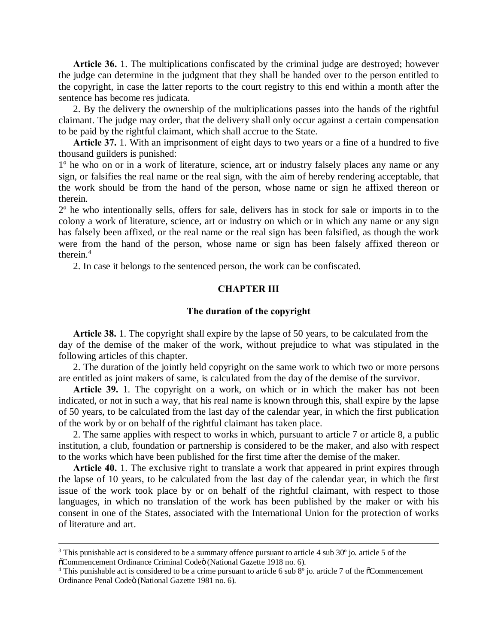**Article 36.** 1. The multiplications confiscated by the criminal judge are destroyed; however the judge can determine in the judgment that they shall be handed over to the person entitled to the copyright, in case the latter reports to the court registry to this end within a month after the sentence has become res judicata.

2. By the delivery the ownership of the multiplications passes into the hands of the rightful claimant. The judge may order, that the delivery shall only occur against a certain compensation to be paid by the rightful claimant, which shall accrue to the State.

**Article 37.** 1. With an imprisonment of eight days to two years or a fine of a hundred to five thousand guilders is punished:

1º he who on or in a work of literature, science, art or industry falsely places any name or any sign, or falsifies the real name or the real sign, with the aim of hereby rendering acceptable, that the work should be from the hand of the person, whose name or sign he affixed thereon or therein.

2º he who intentionally sells, offers for sale, delivers has in stock for sale or imports in to the colony a work of literature, science, art or industry on which or in which any name or any sign has falsely been affixed, or the real name or the real sign has been falsified, as though the work were from the hand of the person, whose name or sign has been falsely affixed thereon or therein.<sup>4</sup>

2. In case it belongs to the sentenced person, the work can be confiscated.

# **CHAPTER III**

# **The duration of the copyright**

**Article 38.** 1. The copyright shall expire by the lapse of 50 years, to be calculated from the day of the demise of the maker of the work, without prejudice to what was stipulated in the following articles of this chapter.

2. The duration of the jointly held copyright on the same work to which two or more persons are entitled as joint makers of same, is calculated from the day of the demise of the survivor.

**Article 39.** 1. The copyright on a work, on which or in which the maker has not been indicated, or not in such a way, that his real name is known through this, shall expire by the lapse of 50 years, to be calculated from the last day of the calendar year, in which the first publication of the work by or on behalf of the rightful claimant has taken place.

2. The same applies with respect to works in which, pursuant to article 7 or article 8, a public institution, a club, foundation or partnership is considered to be the maker, and also with respect to the works which have been published for the first time after the demise of the maker.

**Article 40.** 1. The exclusive right to translate a work that appeared in print expires through the lapse of 10 years, to be calculated from the last day of the calendar year, in which the first issue of the work took place by or on behalf of the rightful claimant, with respect to those languages, in which no translation of the work has been published by the maker or with his consent in one of the States, associated with the International Union for the protection of works of literature and art.

<sup>&</sup>lt;sup>3</sup> This punishable act is considered to be a summary offence pursuant to article 4 sub  $30^{\circ}$  jo. article 5 of the  $6$ Commencement Ordinance Criminal Codeö (National Gazette 1918 no. 6).

<sup>&</sup>lt;sup>4</sup> This punishable act is considered to be a crime pursuant to article 6 sub  $8^\circ$  jo. article 7 of the  $\sigma$ Commencement Ordinance Penal Codeö (National Gazette 1981 no. 6).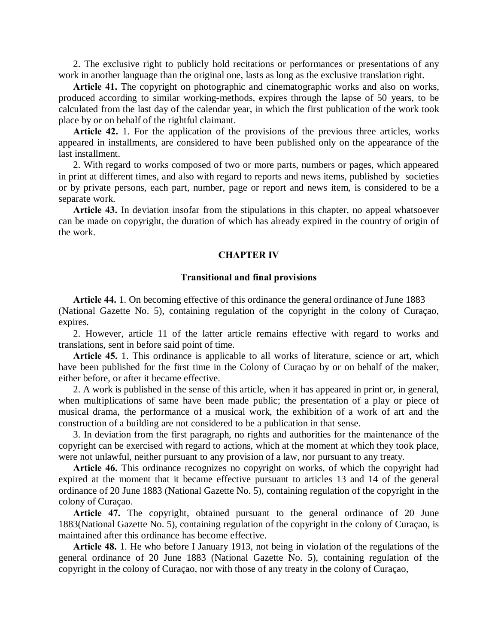2. The exclusive right to publicly hold recitations or performances or presentations of any work in another language than the original one, lasts as long as the exclusive translation right.

Article 41. The copyright on photographic and cinematographic works and also on works, produced according to similar working-methods, expires through the lapse of 50 years, to be calculated from the last day of the calendar year, in which the first publication of the work took place by or on behalf of the rightful claimant.

**Article 42.** 1. For the application of the provisions of the previous three articles, works appeared in installments, are considered to have been published only on the appearance of the last installment.

2. With regard to works composed of two or more parts, numbers or pages, which appeared in print at different times, and also with regard to reports and news items, published by societies or by private persons, each part, number, page or report and news item, is considered to be a separate work.

**Article 43.** In deviation insofar from the stipulations in this chapter, no appeal whatsoever can be made on copyright, the duration of which has already expired in the country of origin of the work.

### **CHAPTER IV**

#### **Transitional and final provisions**

**Article 44.** 1. On becoming effective of this ordinance the general ordinance of June 1883 (National Gazette No. 5), containing regulation of the copyright in the colony of Curaçao, expires.

2. However, article 11 of the latter article remains effective with regard to works and translations, sent in before said point of time.

**Article 45.** 1. This ordinance is applicable to all works of literature, science or art, which have been published for the first time in the Colony of Curaçao by or on behalf of the maker, either before, or after it became effective.

2. A work is published in the sense of this article, when it has appeared in print or, in general, when multiplications of same have been made public; the presentation of a play or piece of musical drama, the performance of a musical work, the exhibition of a work of art and the construction of a building are not considered to be a publication in that sense.

3. In deviation from the first paragraph, no rights and authorities for the maintenance of the copyright can be exercised with regard to actions, which at the moment at which they took place, were not unlawful, neither pursuant to any provision of a law, nor pursuant to any treaty.

**Article 46.** This ordinance recognizes no copyright on works, of which the copyright had expired at the moment that it became effective pursuant to articles 13 and 14 of the general ordinance of 20 June 1883 (National Gazette No. 5), containing regulation of the copyright in the colony of Curaçao.

**Article 47.** The copyright, obtained pursuant to the general ordinance of 20 June 1883(National Gazette No. 5), containing regulation of the copyright in the colony of Curaçao, is maintained after this ordinance has become effective.

**Article 48.** 1. He who before I January 1913, not being in violation of the regulations of the general ordinance of 20 June 1883 (National Gazette No. 5), containing regulation of the copyright in the colony of Curaçao, nor with those of any treaty in the colony of Curaçao,